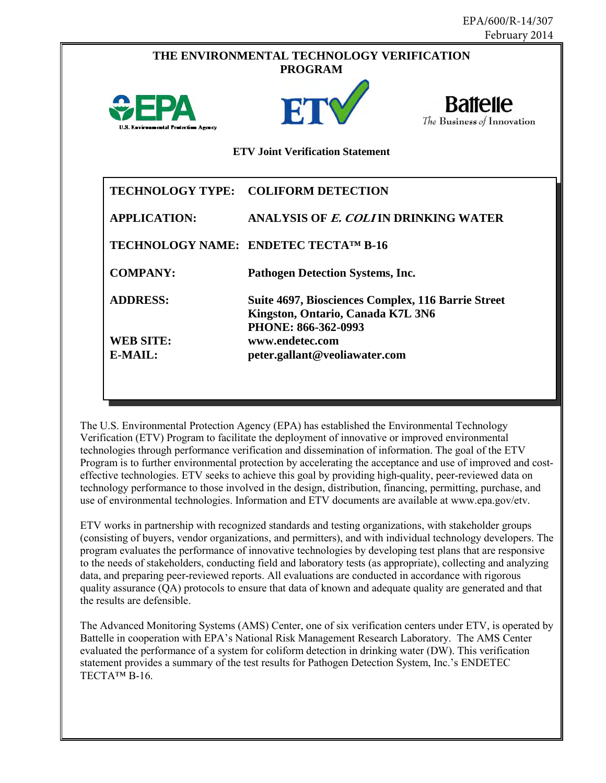|                                         | THE ENVIRONMENTAL TECHNOLOGY VERIFICATION<br><b>PROGRAM</b>                                                    |                                               |  |  |  |
|-----------------------------------------|----------------------------------------------------------------------------------------------------------------|-----------------------------------------------|--|--|--|
| U.S. Environmental Protection Agency    | ETV                                                                                                            | <b>Battelle</b><br>The Business of Innovation |  |  |  |
| <b>ETV</b> Joint Verification Statement |                                                                                                                |                                               |  |  |  |
|                                         | TECHNOLOGY TYPE: COLIFORM DETECTION                                                                            |                                               |  |  |  |
| <b>APPLICATION:</b>                     | ANALYSIS OF E. COLIIN DRINKING WATER                                                                           |                                               |  |  |  |
|                                         | TECHNOLOGY NAME: ENDETEC TECTA <sup>TM</sup> B-16                                                              |                                               |  |  |  |
| <b>COMPANY:</b>                         | <b>Pathogen Detection Systems, Inc.</b>                                                                        |                                               |  |  |  |
| <b>ADDRESS:</b>                         | Suite 4697, Biosciences Complex, 116 Barrie Street<br>Kingston, Ontario, Canada K7L 3N6<br>PHONE: 866-362-0993 |                                               |  |  |  |
| <b>WEB SITE:</b>                        | www.endetec.com                                                                                                |                                               |  |  |  |
| E-MAIL:                                 | peter.gallant@veoliawater.com                                                                                  |                                               |  |  |  |

 technologies through performance verification and dissemination of information. The goal of the ETV The U.S. Environmental Protection Agency (EPA) has established the Environmental Technology Verification (ETV) Program to facilitate the deployment of innovative or improved environmental Program is to further environmental protection by accelerating the acceptance and use of improved and costeffective technologies. ETV seeks to achieve this goal by providing high-quality, peer-reviewed data on technology performance to those involved in the design, distribution, financing, permitting, purchase, and use of environmental technologies. Information and ETV documents are available at www.epa.gov/etv.

 to the needs of stakeholders, conducting field and laboratory tests (as appropriate), collecting and analyzing quality assurance (QA) protocols to ensure that data of known and adequate quality are generated and that ETV works in partnership with recognized standards and testing organizations, with stakeholder groups (consisting of buyers, vendor organizations, and permitters), and with individual technology developers. The program evaluates the performance of innovative technologies by developing test plans that are responsive data, and preparing peer-reviewed reports. All evaluations are conducted in accordance with rigorous the results are defensible.

 evaluated the performance of a system for coliform detection in drinking water (DW). This verification The Advanced Monitoring Systems (AMS) Center, one of six verification centers under ETV, is operated by Battelle in cooperation with EPA's National Risk Management Research Laboratory. The AMS Center statement provides a summary of the test results for Pathogen Detection System, Inc.'s ENDETEC TECTA™ B-16.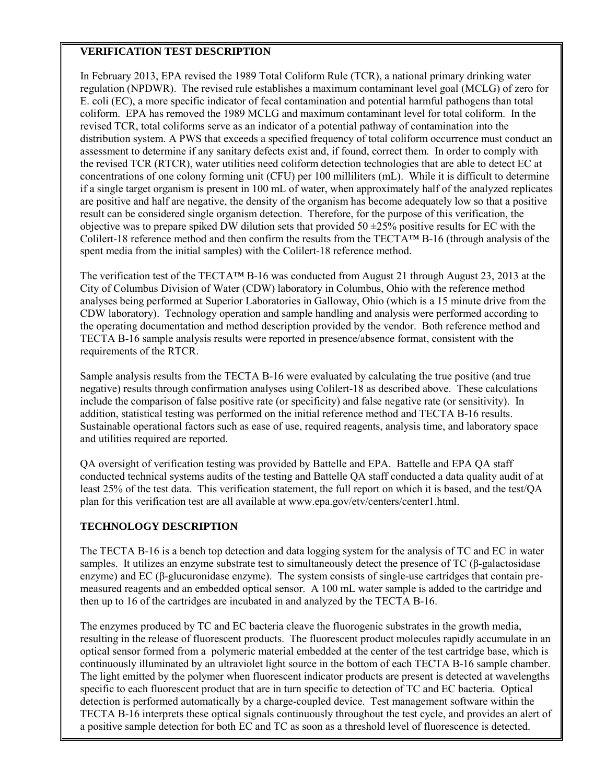## **VERIFICATION TEST DESCRIPTION**

 regulation (NPDWR). The revised rule establishes a maximum contaminant level goal (MCLG) of zero for E. coli (EC), a more specific indicator of fecal contamination and potential harmful pathogens than total coliform. EPA has removed the 1989 MCLG and maximum contaminant level for total coliform. In the revised TCR, total coliforms serve as an indicator of a potential pathway of contamination into the the revised TCR (RTCR), water utilities need coliform detection technologies that are able to detect EC at concentrations of one colony forming unit (CFU) per 100 milliliters (mL). While it is difficult to determine are positive and half are negative, the density of the organism has become adequately low so that a positive result can be considered single organism detection. Therefore, for the purpose of this verification, the In February 2013, EPA revised the 1989 Total Coliform Rule (TCR), a national primary drinking water distribution system. A PWS that exceeds a specified frequency of total coliform occurrence must conduct an assessment to determine if any sanitary defects exist and, if found, correct them. In order to comply with if a single target organism is present in 100 mL of water, when approximately half of the analyzed replicates objective was to prepare spiked DW dilution sets that provided  $50 \pm 25\%$  positive results for EC with the Colilert-18 reference method and then confirm the results from the TECTA<sup>™</sup> B-16 (through analysis of the spent media from the initial samples) with the Colilert-18 reference method.

 The verification test of the TECTA™ B-16 was conducted from August 21 through August 23, 2013 at the CDW laboratory). Technology operation and sample handling and analysis were performed according to requirements of the RTCR. City of Columbus Division of Water (CDW) laboratory in Columbus, Ohio with the reference method analyses being performed at Superior Laboratories in Galloway, Ohio (which is a 15 minute drive from the the operating documentation and method description provided by the vendor. Both reference method and TECTA B-16 sample analysis results were reported in presence/absence format, consistent with the

 include the comparison of false positive rate (or specificity) and false negative rate (or sensitivity). In Sample analysis results from the TECTA B-16 were evaluated by calculating the true positive (and true negative) results through confirmation analyses using Colilert-18 as described above. These calculations addition, statistical testing was performed on the initial reference method and TECTA B-16 results. Sustainable operational factors such as ease of use, required reagents, analysis time, and laboratory space and utilities required are reported.

 least 25% of the test data. This verification statement, the full report on which it is based, and the test/QA plan for this verification test are all available at www.epa.gov/etv/centers/center1.html. QA oversight of verification testing was provided by Battelle and EPA. Battelle and EPA QA staff conducted technical systems audits of the testing and Battelle QA staff conducted a data quality audit of at

## **TECHNOLOGY DESCRIPTION**

 samples. It utilizes an enzyme substrate test to simultaneously detect the presence of TC (β-galactosidase The TECTA B-16 is a bench top detection and data logging system for the analysis of TC and EC in water enzyme) and EC (β-glucuronidase enzyme). The system consists of single-use cartridges that contain premeasured reagents and an embedded optical sensor. A 100 mL water sample is added to the cartridge and then up to 16 of the cartridges are incubated in and analyzed by the TECTA B-16.

 resulting in the release of fluorescent products. The fluorescent product molecules rapidly accumulate in an specific to each fluorescent product that are in turn specific to detection of TC and EC bacteria. Optical detection is performed automatically by a charge-coupled device. Test management software within the TECTA B-16 interprets these optical signals continuously throughout the test cycle, and provides an alert of a positive sample detection for both EC and TC as soon as a threshold level of fluorescence is detected. The enzymes produced by TC and EC bacteria cleave the fluorogenic substrates in the growth media, optical sensor formed from a polymeric material embedded at the center of the test cartridge base, which is continuously illuminated by an ultraviolet light source in the bottom of each TECTA B-16 sample chamber. The light emitted by the polymer when fluorescent indicator products are present is detected at wavelengths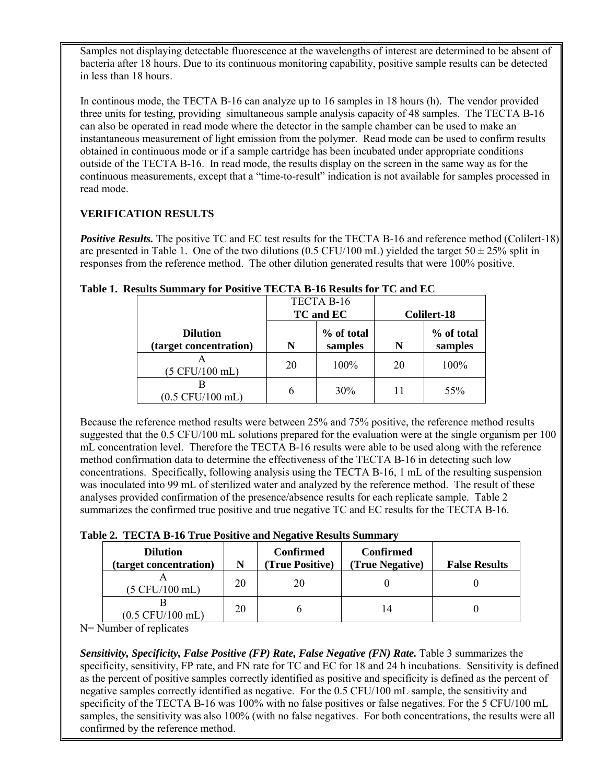Samples not displaying detectable fluorescence at the wavelengths of interest are determined to be absent of bacteria after 18 hours. Due to its continuous monitoring capability, positive sample results can be detected in less than 18 hours.

 three units for testing, providing simultaneous sample analysis capacity of 48 samples. The TECTA B-16 can also be operated in read mode where the detector in the sample chamber can be used to make an obtained in continuous mode or if a sample cartridge has been incubated under appropriate conditions continuous measurements, except that a "time-to-result" indication is not available for samples processed in In continous mode, the TECTA B-16 can analyze up to 16 samples in 18 hours (h). The vendor provided instantaneous measurement of light emission from the polymer. Read mode can be used to confirm results outside of the TECTA B-16. In read mode, the results display on the screen in the same way as for the read mode.

## **VERIFICATION RESULTS**

are presented in Table 1. One of the two dilutions (0.5 CFU/100 mL) yielded the target  $50 \pm 25\%$  split in responses from the reference method. The other dilution generated results that were 100% positive. *Positive Results.* The positive TC and EC test results for the TECTA B-16 and reference method (Colilert-18)

|                                           | TECTA B-16<br>TC and EC |                       | Colilert-18 |                       |
|-------------------------------------------|-------------------------|-----------------------|-------------|-----------------------|
| <b>Dilution</b><br>(target concentration) | N                       | % of total<br>samples | N           | % of total<br>samples |
| $(5$ CFU/100 mL)                          | 20                      | 100%                  | 20          | 100%                  |
| $(0.5$ CFU/100 mL)                        |                         | 30%                   | 11          | 55%                   |

 **Table 1. Results Summary for Positive TECTA B-16 Results for TC and EC** 

 Because the reference method results were between 25% and 75% positive, the reference method results suggested that the 0.5 CFU/100 mL solutions prepared for the evaluation were at the single organism per 100 mL concentration level. Therefore the TECTA B-16 results were able to be used along with the reference method confirmation data to determine the effectiveness of the TECTA B-16 in detecting such low concentrations. Specifically, following analysis using the TECTA B-16, 1 mL of the resulting suspension was inoculated into 99 mL of sterilized water and analyzed by the reference method. The result of these analyses provided confirmation of the presence/absence results for each replicate sample. Table 2 summarizes the confirmed true positive and true negative TC and EC results for the TECTA B-16.

| Table 2. TECTA B-16 True Positive and Negative Results Summary |  |  |  |
|----------------------------------------------------------------|--|--|--|
|                                                                |  |  |  |

| <b>Dilution</b><br>(target concentration) | N  | <b>Confirmed</b><br>(True Positive) | <b>Confirmed</b><br>(True Negative) | <b>False Results</b> |
|-------------------------------------------|----|-------------------------------------|-------------------------------------|----------------------|
| $(5$ CFU/100 mL)                          | 20 | 20                                  |                                     |                      |
| $(0.5$ CFU/100 mL)                        | 20 |                                     | 14                                  |                      |

N= Number of replicates

Sensitivity, Specificity, False Positive (FP) Rate, False Negative (FN) Rate. Table 3 summarizes the as the percent of positive samples correctly identified as positive and specificity is defined as the percent of negative samples correctly identified as negative. For the 0.5 CFU/100 mL sample, the sensitivity and samples, the sensitivity was also 100% (with no false negatives. For both concentrations, the results were all specificity, sensitivity, FP rate, and FN rate for TC and EC for 18 and 24 h incubations. Sensitivity is defined specificity of the TECTA B-16 was 100% with no false positives or false negatives. For the 5 CFU/100 mL confirmed by the reference method.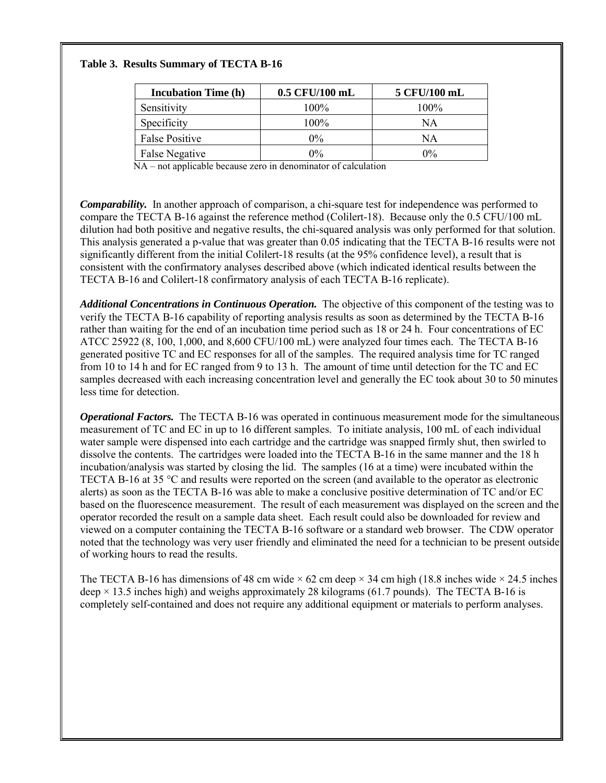## **Table 3. Results Summary of TECTA B-16**

| <b>Incubation Time (h)</b> | 0.5 CFU/100 mL | 5 CFU/100 mL |
|----------------------------|----------------|--------------|
| Sensitivity                | 100%           | 100%         |
| Specificity                | 100%           | NΑ           |
| <b>False Positive</b>      | $0\%$          | NΑ           |
| False Negative             | $0\%$          | $0\%$        |

NA – not applicable because zero in denominator of calculation

 *Comparability.* In another approach of comparison, a chi-square test for independence was performed to compare the TECTA B-16 against the reference method (Colilert-18). Because only the 0.5 CFU/100 mL dilution had both positive and negative results, the chi-squared analysis was only performed for that solution. consistent with the confirmatory analyses described above (which indicated identical results between the This analysis generated a p-value that was greater than 0.05 indicating that the TECTA B-16 results were not significantly different from the initial Colilert-18 results (at the 95% confidence level), a result that is TECTA B-16 and Colilert-18 confirmatory analysis of each TECTA B-16 replicate).

Additional Concentrations in Continuous Operation. The objective of this component of the testing was to ATCC 25922 (8, 100, 1,000, and 8,600 CFU/100 mL) were analyzed four times each. The TECTA B-16 generated positive TC and EC responses for all of the samples. The required analysis time for TC ranged from 10 to 14 h and for EC ranged from 9 to 13 h. The amount of time until detection for the TC and EC verify the TECTA B-16 capability of reporting analysis results as soon as determined by the TECTA B-16 rather than waiting for the end of an incubation time period such as 18 or 24 h. Four concentrations of EC samples decreased with each increasing concentration level and generally the EC took about 30 to 50 minutes less time for detection.

 *Operational Factors.* The TECTA B-16 was operated in continuous measurement mode for the simultaneous dissolve the contents. The cartridges were loaded into the TECTA B-16 in the same manner and the 18 h TECTA B-16 at 35 °C and results were reported on the screen (and available to the operator as electronic based on the fluorescence measurement. The result of each measurement was displayed on the screen and the viewed on a computer containing the TECTA B-16 software or a standard web browser. The CDW operator noted that the technology was very user friendly and eliminated the need for a technician to be present outside measurement of TC and EC in up to 16 different samples. To initiate analysis, 100 mL of each individual water sample were dispensed into each cartridge and the cartridge was snapped firmly shut, then swirled to incubation/analysis was started by closing the lid. The samples (16 at a time) were incubated within the alerts) as soon as the TECTA B-16 was able to make a conclusive positive determination of TC and/or EC operator recorded the result on a sample data sheet. Each result could also be downloaded for review and of working hours to read the results.

The TECTA B-16 has dimensions of 48 cm wide  $\times$  62 cm deep  $\times$  34 cm high (18.8 inches wide  $\times$  24.5 inches completely self-contained and does not require any additional equipment or materials to perform analyses. deep  $\times$  13.5 inches high) and weighs approximately 28 kilograms (61.7 pounds). The TECTA B-16 is